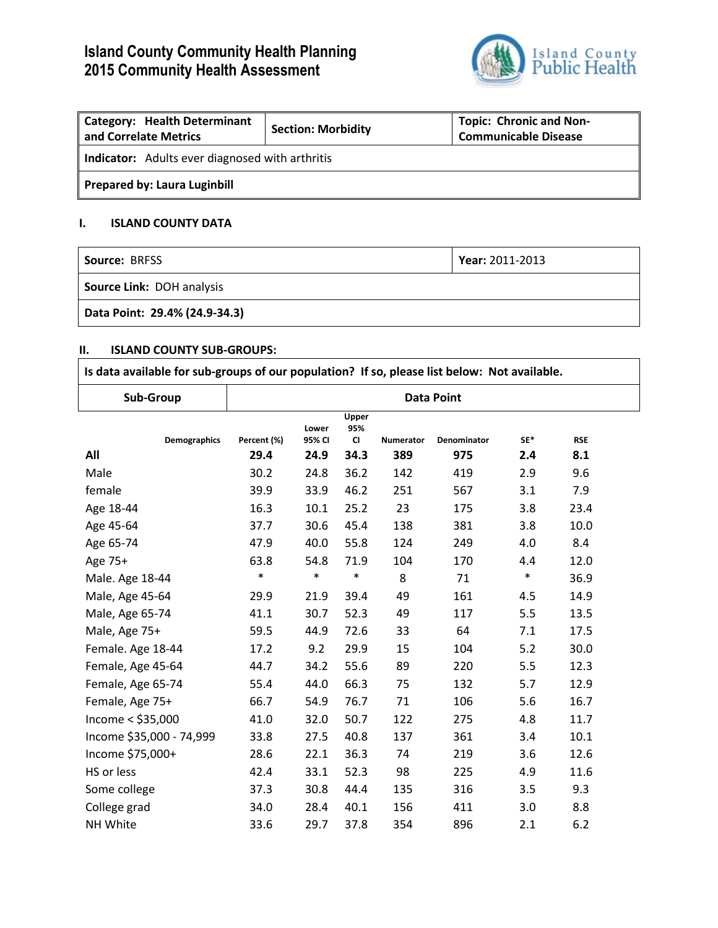# **Island County Community Health Planning 2015 Community Health Assessment**



| <b>Category: Health Determinant</b><br>and Correlate Metrics | <b>Section: Morbidity</b> | <b>Topic: Chronic and Non-</b><br><b>Communicable Disease</b> |  |  |  |  |
|--------------------------------------------------------------|---------------------------|---------------------------------------------------------------|--|--|--|--|
| <b>Indicator:</b> Adults ever diagnosed with arthritis       |                           |                                                               |  |  |  |  |
| <b>Prepared by: Laura Luginbill</b>                          |                           |                                                               |  |  |  |  |

## **I. ISLAND COUNTY DATA**

| <b>Source: BRFSS</b>             | Year: 2011-2013 |  |  |
|----------------------------------|-----------------|--|--|
| <b>Source Link: DOH analysis</b> |                 |  |  |
| Data Point: 29.4% (24.9-34.3)    |                 |  |  |

### **II. ISLAND COUNTY SUB-GROUPS:**

| Is data available for sub-groups of our population? If so, please list below: Not available. |                   |                 |                           |           |             |        |            |  |
|----------------------------------------------------------------------------------------------|-------------------|-----------------|---------------------------|-----------|-------------|--------|------------|--|
| Sub-Group                                                                                    | <b>Data Point</b> |                 |                           |           |             |        |            |  |
| <b>Demographics</b>                                                                          | Percent (%)       | Lower<br>95% CI | Upper<br>95%<br><b>CI</b> | Numerator | Denominator | SE*    | <b>RSE</b> |  |
| All                                                                                          | 29.4              | 24.9            | 34.3                      | 389       | 975         | 2.4    | 8.1        |  |
| Male                                                                                         | 30.2              | 24.8            | 36.2                      | 142       | 419         | 2.9    | 9.6        |  |
| female                                                                                       | 39.9              | 33.9            | 46.2                      | 251       | 567         | 3.1    | 7.9        |  |
| Age 18-44                                                                                    | 16.3              | 10.1            | 25.2                      | 23        | 175         | 3.8    | 23.4       |  |
| Age 45-64                                                                                    | 37.7              | 30.6            | 45.4                      | 138       | 381         | 3.8    | 10.0       |  |
| Age 65-74                                                                                    | 47.9              | 40.0            | 55.8                      | 124       | 249         | 4.0    | 8.4        |  |
| Age 75+                                                                                      | 63.8              | 54.8            | 71.9                      | 104       | 170         | 4.4    | 12.0       |  |
| Male. Age 18-44                                                                              | $\ast$            | $\ast$          | $\ast$                    | 8         | 71          | $\ast$ | 36.9       |  |
| Male, Age 45-64                                                                              | 29.9              | 21.9            | 39.4                      | 49        | 161         | 4.5    | 14.9       |  |
| Male, Age 65-74                                                                              | 41.1              | 30.7            | 52.3                      | 49        | 117         | 5.5    | 13.5       |  |
| Male, Age 75+                                                                                | 59.5              | 44.9            | 72.6                      | 33        | 64          | 7.1    | 17.5       |  |
| Female. Age 18-44                                                                            | 17.2              | 9.2             | 29.9                      | 15        | 104         | 5.2    | 30.0       |  |
| Female, Age 45-64                                                                            | 44.7              | 34.2            | 55.6                      | 89        | 220         | 5.5    | 12.3       |  |
| Female, Age 65-74                                                                            | 55.4              | 44.0            | 66.3                      | 75        | 132         | 5.7    | 12.9       |  |
| Female, Age 75+                                                                              | 66.7              | 54.9            | 76.7                      | 71        | 106         | 5.6    | 16.7       |  |
| Income < \$35,000                                                                            | 41.0              | 32.0            | 50.7                      | 122       | 275         | 4.8    | 11.7       |  |
| Income \$35,000 - 74,999                                                                     | 33.8              | 27.5            | 40.8                      | 137       | 361         | 3.4    | 10.1       |  |
| Income \$75,000+                                                                             | 28.6              | 22.1            | 36.3                      | 74        | 219         | 3.6    | 12.6       |  |
| HS or less                                                                                   | 42.4              | 33.1            | 52.3                      | 98        | 225         | 4.9    | 11.6       |  |
| Some college                                                                                 | 37.3              | 30.8            | 44.4                      | 135       | 316         | 3.5    | 9.3        |  |
| College grad                                                                                 | 34.0              | 28.4            | 40.1                      | 156       | 411         | 3.0    | 8.8        |  |
| NH White                                                                                     | 33.6              | 29.7            | 37.8                      | 354       | 896         | 2.1    | 6.2        |  |